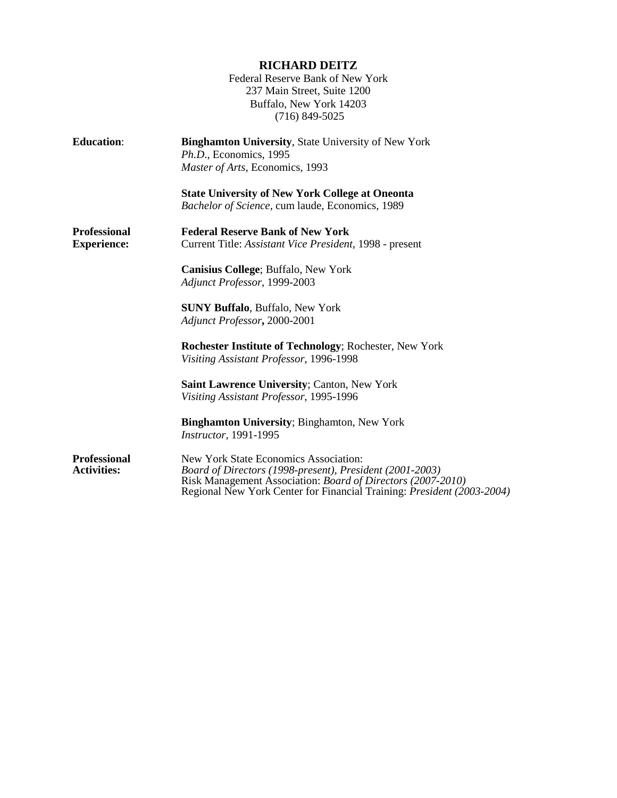|                                           | <b>RICHARD DEITZ</b><br>Federal Reserve Bank of New York<br>237 Main Street, Suite 1200<br>Buffalo, New York 14203<br>$(716)$ 849-5025                           |
|-------------------------------------------|------------------------------------------------------------------------------------------------------------------------------------------------------------------|
| <b>Education:</b>                         | <b>Binghamton University, State University of New York</b><br>Ph.D., Economics, 1995<br>Master of Arts, Economics, 1993                                          |
|                                           | <b>State University of New York College at Oneonta</b><br>Bachelor of Science, cum laude, Economics, 1989                                                        |
| <b>Professional</b><br><b>Experience:</b> | <b>Federal Reserve Bank of New York</b><br>Current Title: Assistant Vice President, 1998 - present                                                               |
|                                           | Canisius College; Buffalo, New York<br>Adjunct Professor, 1999-2003                                                                                              |
|                                           | <b>SUNY Buffalo, Buffalo, New York</b><br>Adjunct Professor, 2000-2001                                                                                           |
|                                           | <b>Rochester Institute of Technology; Rochester, New York</b><br>Visiting Assistant Professor, 1996-1998                                                         |
|                                           | <b>Saint Lawrence University; Canton, New York</b><br>Visiting Assistant Professor, 1995-1996                                                                    |
|                                           | <b>Binghamton University; Binghamton, New York</b><br>Instructor, 1991-1995                                                                                      |
| <b>Professional</b><br><b>Activities:</b> | New York State Economics Association:<br>Board of Directors (1998-present), President (2001-2003)<br>Risk Management Association: Board of Directors (2007-2010) |

Regional New York Center for Financial Training: *President (2003-2004)*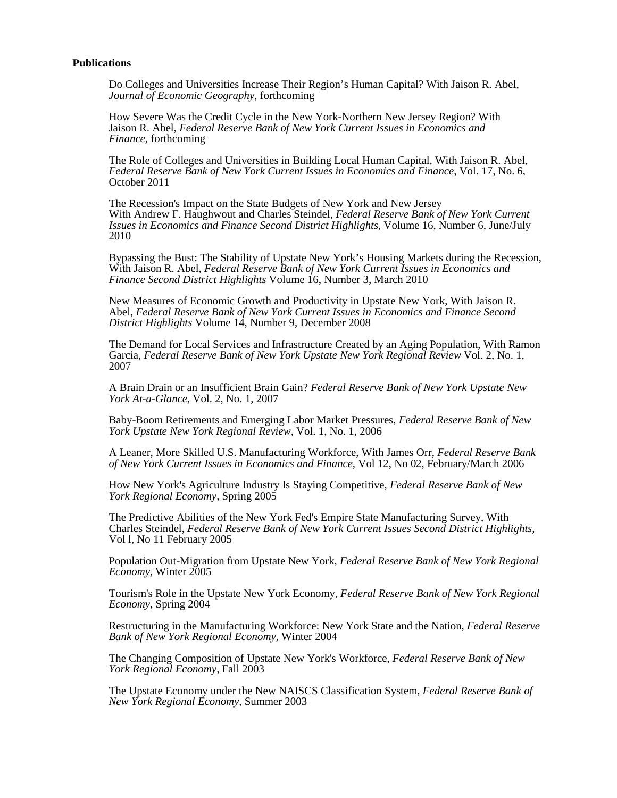## **Publications**

Do Colleges and Universities Increase Their Region's Human Capital? With Jaison R. Abel, *Journal of Economic Geography*, forthcoming

How Severe Was the Credit Cycle in the New York-Northern New Jersey Region? With Jaison R. Abel, *Federal Reserve Bank of New York Current Issues in Economics and Finance*, forthcoming

The Role of Colleges and Universities in Building Local Human Capital, With Jaison R. Abel, *Federal Reserve Bank of New York Current Issues in Economics and Finance*, Vol. 17, No. 6, October 2011

The Recession's Impact on the State Budgets of New York and New Jersey With Andrew F. Haughwout and Charles Steindel, *Federal Reserve Bank of New York Current Issues in Economics and Finance Second District Highlights,* Volume 16, Number 6, June/July 2010

Bypassing the Bust: The Stability of Upstate New York's Housing Markets during the Recession, With Jaison R. Abel, *Federal Reserve Bank of New York Current Issues in Economics and Finance Second District Highlights* Volume 16, Number 3, March 2010

New Measures of Economic Growth and Productivity in Upstate New York, With Jaison R. Abel, *Federal Reserve Bank of New York Current Issues in Economics and Finance Second District Highlights* Volume 14, Number 9, December 2008

The Demand for Local Services and Infrastructure Created by an Aging Population, With Ramon Garcia, *Federal Reserve Bank of New York Upstate New York Regional Review* Vol. 2, No. 1, 2007

A Brain Drain or an Insufficient Brain Gain? *Federal Reserve Bank of New York Upstate New York At-a-Glance,* Vol. 2, No. 1, 2007

Baby-Boom Retirements and Emerging Labor Market Pressures, *Federal Reserve Bank of New York Upstate New York Regional Review,* Vol. 1, No. 1, 2006

A Leaner, More Skilled U.S. Manufacturing Workforce, With James Orr, *Federal Reserve Bank of New York Current Issues in Economics and Finance,* Vol 12, No 02, February/March 2006

How New York's Agriculture Industry Is Staying Competitive, *Federal Reserve Bank of New York Regional Economy,* Spring 2005

The Predictive Abilities of the New York Fed's Empire State Manufacturing Survey, With Charles Steindel, *Federal Reserve Bank of New York Current Issues Second District Highlights,* Vol l, No 11 February 2005

Population Out-Migration from Upstate New York, *Federal Reserve Bank of New York Regional Economy,* Winter 2005

Tourism's Role in the Upstate New York Economy, *Federal Reserve Bank of New York Regional Economy,* Spring 2004

Restructuring in the Manufacturing Workforce: New York State and the Nation, *Federal Reserve Bank of New York Regional Economy,* Winter 2004

The Changing Composition of Upstate New York's Workforce, *Federal Reserve Bank of New York Regional Economy, Fall 2003* 

The Upstate Economy under the New NAISCS Classification System, *Federal Reserve Bank of New York Regional Economy,* Summer 2003